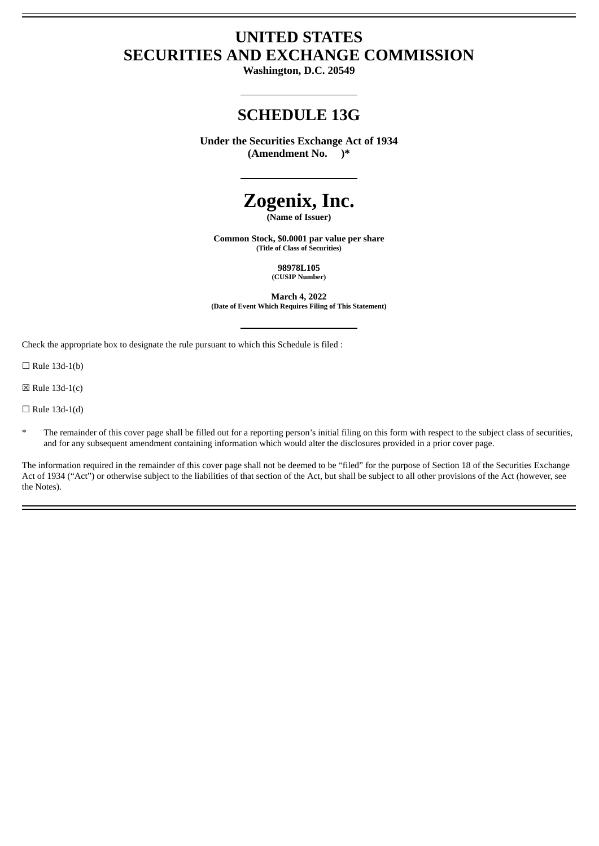# **UNITED STATES SECURITIES AND EXCHANGE COMMISSION**

**Washington, D.C. 20549**

# **SCHEDULE 13G**

**Under the Securities Exchange Act of 1934 (Amendment No. )\***

# **Zogenix, Inc.**

**(Name of Issuer)**

**Common Stock, \$0.0001 par value per share (Title of Class of Securities)**

> **98978L105 (CUSIP Number)**

**March 4, 2022 (Date of Event Which Requires Filing of This Statement)**

Check the appropriate box to designate the rule pursuant to which this Schedule is filed :

 $\Box$  Rule 13d-1(b)

☒ Rule 13d-1(c)

 $\Box$  Rule 13d-1(d)

The remainder of this cover page shall be filled out for a reporting person's initial filing on this form with respect to the subject class of securities, and for any subsequent amendment containing information which would alter the disclosures provided in a prior cover page.

The information required in the remainder of this cover page shall not be deemed to be "filed" for the purpose of Section 18 of the Securities Exchange Act of 1934 ("Act") or otherwise subject to the liabilities of that section of the Act, but shall be subject to all other provisions of the Act (however, see the Notes).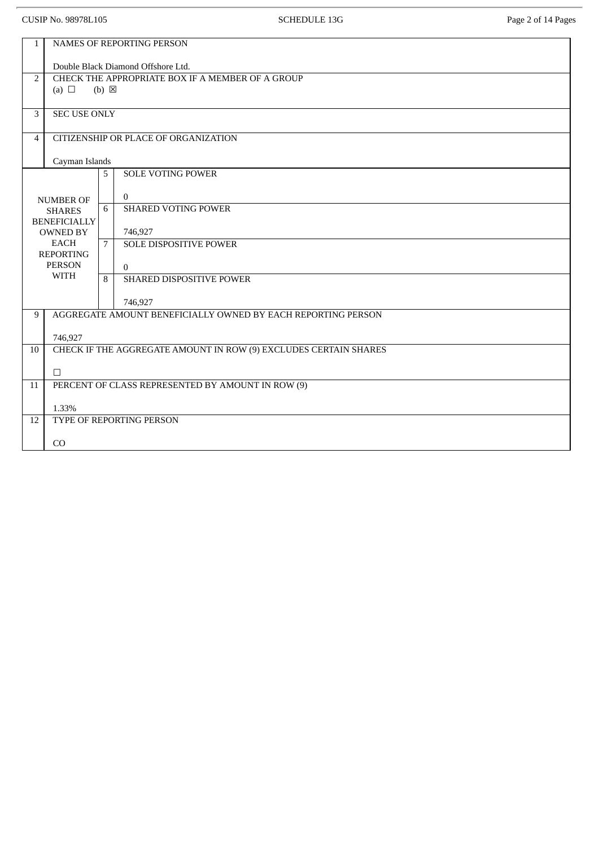| <b>CUSIP No. 98978L105</b>                             |                                                                  |                 | <b>SCHEDULE 13G</b>                                          | Page 2 of 14 Pages |  |  |  |
|--------------------------------------------------------|------------------------------------------------------------------|-----------------|--------------------------------------------------------------|--------------------|--|--|--|
| $\mathbf{1}$                                           | <b>NAMES OF REPORTING PERSON</b>                                 |                 |                                                              |                    |  |  |  |
|                                                        | Double Black Diamond Offshore Ltd.                               |                 |                                                              |                    |  |  |  |
| $\overline{2}$                                         | CHECK THE APPROPRIATE BOX IF A MEMBER OF A GROUP                 |                 |                                                              |                    |  |  |  |
|                                                        | (a) $\Box$                                                       | $(b) \boxtimes$ |                                                              |                    |  |  |  |
| 3                                                      | <b>SEC USE ONLY</b>                                              |                 |                                                              |                    |  |  |  |
| CITIZENSHIP OR PLACE OF ORGANIZATION<br>$\overline{4}$ |                                                                  |                 |                                                              |                    |  |  |  |
|                                                        | Cayman Islands                                                   |                 |                                                              |                    |  |  |  |
|                                                        |                                                                  | 5               | <b>SOLE VOTING POWER</b>                                     |                    |  |  |  |
|                                                        | <b>NUMBER OF</b>                                                 |                 | $\overline{0}$                                               |                    |  |  |  |
|                                                        | <b>SHARES</b>                                                    | 6               | <b>SHARED VOTING POWER</b>                                   |                    |  |  |  |
|                                                        | <b>BENEFICIALLY</b><br><b>OWNED BY</b>                           |                 | 746,927                                                      |                    |  |  |  |
|                                                        | <b>EACH</b>                                                      | 7               | <b>SOLE DISPOSITIVE POWER</b>                                |                    |  |  |  |
|                                                        | <b>REPORTING</b>                                                 |                 |                                                              |                    |  |  |  |
|                                                        | <b>PERSON</b><br><b>WITH</b>                                     |                 | $\mathbf{0}$                                                 |                    |  |  |  |
|                                                        |                                                                  | 8               | SHARED DISPOSITIVE POWER                                     |                    |  |  |  |
|                                                        |                                                                  |                 | 746,927                                                      |                    |  |  |  |
| 9                                                      |                                                                  |                 | AGGREGATE AMOUNT BENEFICIALLY OWNED BY EACH REPORTING PERSON |                    |  |  |  |
|                                                        | 746,927                                                          |                 |                                                              |                    |  |  |  |
| 10                                                     | CHECK IF THE AGGREGATE AMOUNT IN ROW (9) EXCLUDES CERTAIN SHARES |                 |                                                              |                    |  |  |  |
|                                                        | $\Box$                                                           |                 |                                                              |                    |  |  |  |
| 11                                                     | PERCENT OF CLASS REPRESENTED BY AMOUNT IN ROW (9)                |                 |                                                              |                    |  |  |  |
|                                                        | 1.33%                                                            |                 |                                                              |                    |  |  |  |
| 12                                                     | TYPE OF REPORTING PERSON                                         |                 |                                                              |                    |  |  |  |
|                                                        | CO                                                               |                 |                                                              |                    |  |  |  |
|                                                        |                                                                  |                 |                                                              |                    |  |  |  |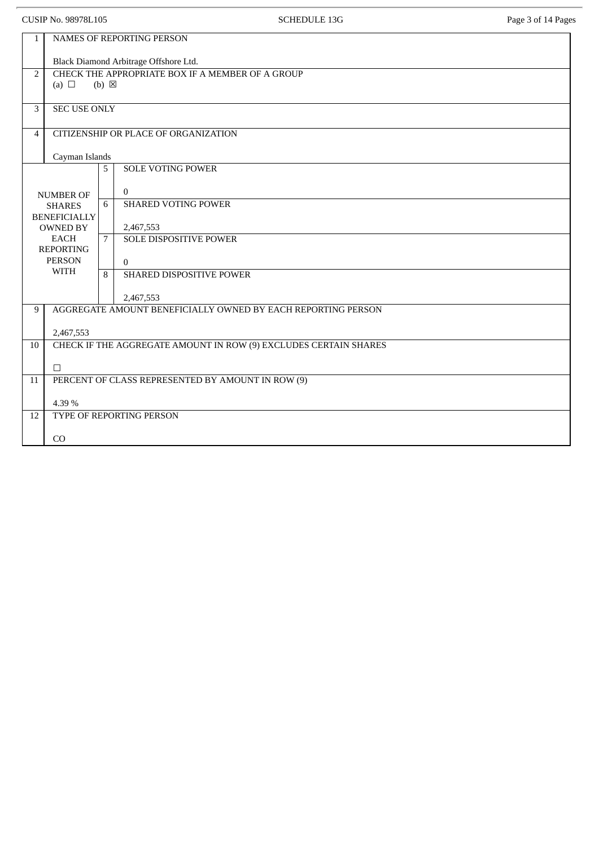| <b>CUSIP No. 98978L105</b>        |                                                                  |   | <b>SCHEDULE 13G</b>                  | Page 3 of 14 Pages |  |  |  |
|-----------------------------------|------------------------------------------------------------------|---|--------------------------------------|--------------------|--|--|--|
| $\mathbf{1}$                      |                                                                  |   | NAMES OF REPORTING PERSON            |                    |  |  |  |
|                                   | Black Diamond Arbitrage Offshore Ltd.                            |   |                                      |                    |  |  |  |
| 2                                 | CHECK THE APPROPRIATE BOX IF A MEMBER OF A GROUP                 |   |                                      |                    |  |  |  |
|                                   | (a) $\Box$<br>$(b) \boxtimes$                                    |   |                                      |                    |  |  |  |
| $\mathbf{3}$                      | <b>SEC USE ONLY</b>                                              |   |                                      |                    |  |  |  |
| $\overline{4}$                    |                                                                  |   | CITIZENSHIP OR PLACE OF ORGANIZATION |                    |  |  |  |
|                                   | Cayman Islands                                                   |   |                                      |                    |  |  |  |
|                                   |                                                                  | 5 | <b>SOLE VOTING POWER</b>             |                    |  |  |  |
|                                   | <b>NUMBER OF</b>                                                 |   | $\mathbf{0}$                         |                    |  |  |  |
|                                   | <b>SHARES</b>                                                    | 6 | <b>SHARED VOTING POWER</b>           |                    |  |  |  |
|                                   | <b>BENEFICIALLY</b><br><b>OWNED BY</b>                           |   | 2,467,553                            |                    |  |  |  |
|                                   | <b>EACH</b>                                                      |   | <b>SOLE DISPOSITIVE POWER</b>        |                    |  |  |  |
| <b>REPORTING</b><br><b>PERSON</b> |                                                                  |   | $\overline{0}$                       |                    |  |  |  |
|                                   | <b>WITH</b>                                                      | 8 | SHARED DISPOSITIVE POWER             |                    |  |  |  |
|                                   |                                                                  |   | 2,467,553                            |                    |  |  |  |
| 9                                 | AGGREGATE AMOUNT BENEFICIALLY OWNED BY EACH REPORTING PERSON     |   |                                      |                    |  |  |  |
|                                   | 2,467,553                                                        |   |                                      |                    |  |  |  |
| $\overline{10}$                   | CHECK IF THE AGGREGATE AMOUNT IN ROW (9) EXCLUDES CERTAIN SHARES |   |                                      |                    |  |  |  |
|                                   | $\Box$                                                           |   |                                      |                    |  |  |  |
| 11                                | PERCENT OF CLASS REPRESENTED BY AMOUNT IN ROW (9)                |   |                                      |                    |  |  |  |
|                                   | 4.39%                                                            |   |                                      |                    |  |  |  |
| 12                                | TYPE OF REPORTING PERSON                                         |   |                                      |                    |  |  |  |
|                                   | CO                                                               |   |                                      |                    |  |  |  |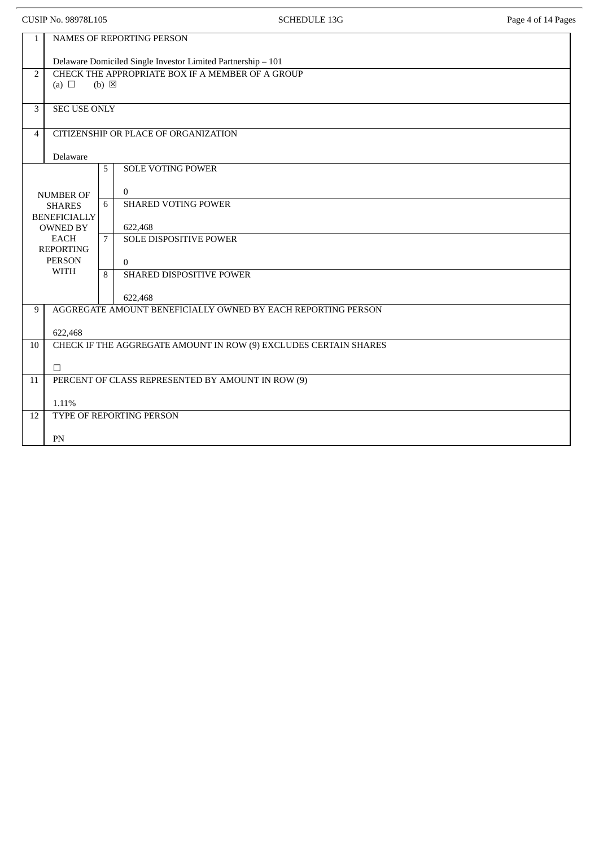| <b>CUSIP No. 98978L105</b>                             |                                                                                   |   | <b>SCHEDULE 13G</b>                      | Page 4 of 14 Pages |  |  |  |
|--------------------------------------------------------|-----------------------------------------------------------------------------------|---|------------------------------------------|--------------------|--|--|--|
| NAMES OF REPORTING PERSON<br>$\mathbf{1}$              |                                                                                   |   |                                          |                    |  |  |  |
|                                                        | Delaware Domiciled Single Investor Limited Partnership - 101                      |   |                                          |                    |  |  |  |
| 2                                                      | CHECK THE APPROPRIATE BOX IF A MEMBER OF A GROUP<br>(a) $\Box$<br>$(b) \boxtimes$ |   |                                          |                    |  |  |  |
| 3                                                      | <b>SEC USE ONLY</b>                                                               |   |                                          |                    |  |  |  |
| CITIZENSHIP OR PLACE OF ORGANIZATION<br>$\overline{4}$ |                                                                                   |   |                                          |                    |  |  |  |
|                                                        | Delaware                                                                          |   |                                          |                    |  |  |  |
|                                                        |                                                                                   | 5 | <b>SOLE VOTING POWER</b>                 |                    |  |  |  |
|                                                        | <b>NUMBER OF</b>                                                                  | 6 | $\bf{0}$<br><b>SHARED VOTING POWER</b>   |                    |  |  |  |
|                                                        | <b>SHARES</b><br><b>BENEFICIALLY</b>                                              |   |                                          |                    |  |  |  |
|                                                        | <b>OWNED BY</b><br><b>EACH</b><br><b>REPORTING</b><br><b>PERSON</b>               |   | 622,468<br><b>SOLE DISPOSITIVE POWER</b> |                    |  |  |  |
|                                                        |                                                                                   |   | $\mathbf{0}$                             |                    |  |  |  |
|                                                        | <b>WITH</b>                                                                       | 8 | SHARED DISPOSITIVE POWER                 |                    |  |  |  |
|                                                        |                                                                                   |   | 622,468                                  |                    |  |  |  |
| 9                                                      | AGGREGATE AMOUNT BENEFICIALLY OWNED BY EACH REPORTING PERSON                      |   |                                          |                    |  |  |  |
| 10                                                     | 622,468                                                                           |   |                                          |                    |  |  |  |
|                                                        | CHECK IF THE AGGREGATE AMOUNT IN ROW (9) EXCLUDES CERTAIN SHARES                  |   |                                          |                    |  |  |  |
| 11                                                     | П<br>PERCENT OF CLASS REPRESENTED BY AMOUNT IN ROW (9)                            |   |                                          |                    |  |  |  |
|                                                        |                                                                                   |   |                                          |                    |  |  |  |
| 12                                                     | 1.11%<br>TYPE OF REPORTING PERSON                                                 |   |                                          |                    |  |  |  |
|                                                        | PN                                                                                |   |                                          |                    |  |  |  |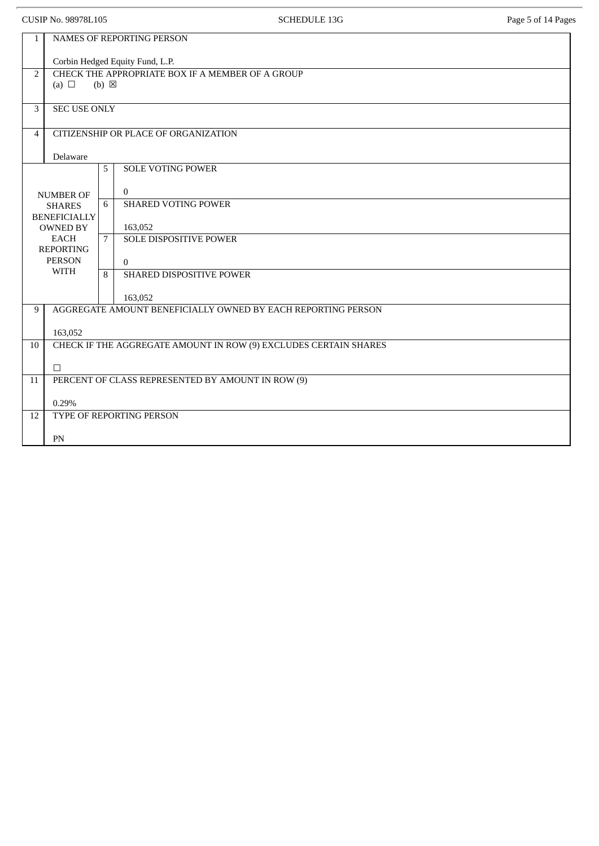|                                      | <b>CUSIP No. 98978L105</b>                                                        |   | <b>SCHEDULE 13G</b>                               | Page 5 of 14 Pages |  |  |
|--------------------------------------|-----------------------------------------------------------------------------------|---|---------------------------------------------------|--------------------|--|--|
| $\mathbf{1}$                         |                                                                                   |   | NAMES OF REPORTING PERSON                         |                    |  |  |
|                                      | Corbin Hedged Equity Fund, L.P.                                                   |   |                                                   |                    |  |  |
| $\overline{2}$                       | CHECK THE APPROPRIATE BOX IF A MEMBER OF A GROUP<br>(a) $\Box$<br>$(b) \boxtimes$ |   |                                                   |                    |  |  |
|                                      |                                                                                   |   |                                                   |                    |  |  |
| 3                                    | <b>SEC USE ONLY</b>                                                               |   |                                                   |                    |  |  |
| $\overline{4}$                       |                                                                                   |   | CITIZENSHIP OR PLACE OF ORGANIZATION              |                    |  |  |
|                                      | Delaware                                                                          |   |                                                   |                    |  |  |
|                                      |                                                                                   | 5 | <b>SOLE VOTING POWER</b>                          |                    |  |  |
|                                      | <b>NUMBER OF</b>                                                                  |   | $\overline{0}$                                    |                    |  |  |
| <b>SHARES</b><br><b>BENEFICIALLY</b> |                                                                                   | 6 | <b>SHARED VOTING POWER</b>                        |                    |  |  |
|                                      | <b>OWNED BY</b><br><b>EACH</b>                                                    |   | 163,052<br><b>SOLE DISPOSITIVE POWER</b>          |                    |  |  |
|                                      | <b>REPORTING</b><br><b>PERSON</b><br><b>WITH</b>                                  |   |                                                   |                    |  |  |
|                                      |                                                                                   |   | $\overline{0}$<br><b>SHARED DISPOSITIVE POWER</b> |                    |  |  |
|                                      |                                                                                   |   |                                                   |                    |  |  |
| 9                                    | 163,052<br>AGGREGATE AMOUNT BENEFICIALLY OWNED BY EACH REPORTING PERSON           |   |                                                   |                    |  |  |
|                                      | 163,052                                                                           |   |                                                   |                    |  |  |
| 10                                   | CHECK IF THE AGGREGATE AMOUNT IN ROW (9) EXCLUDES CERTAIN SHARES                  |   |                                                   |                    |  |  |
|                                      | $\Box$                                                                            |   |                                                   |                    |  |  |
| 11                                   | PERCENT OF CLASS REPRESENTED BY AMOUNT IN ROW (9)                                 |   |                                                   |                    |  |  |
|                                      | 0.29%                                                                             |   |                                                   |                    |  |  |
| 12                                   | TYPE OF REPORTING PERSON                                                          |   |                                                   |                    |  |  |
|                                      | PN                                                                                |   |                                                   |                    |  |  |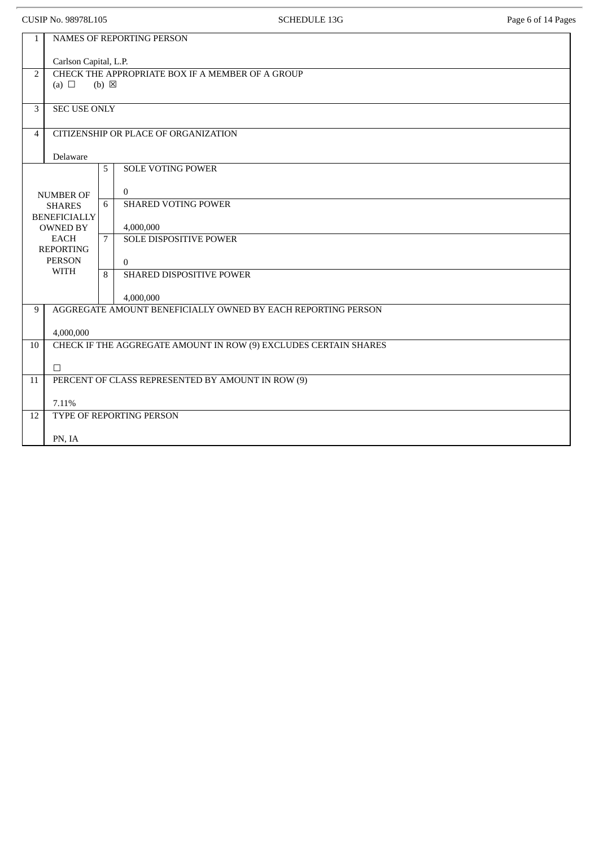|                                                                                                                                                | <b>CUSIP No. 98978L105</b>                                                                                 |                | <b>SCHEDULE 13G</b>                                     | Page 6 of 14 Pages |  |  |  |
|------------------------------------------------------------------------------------------------------------------------------------------------|------------------------------------------------------------------------------------------------------------|----------------|---------------------------------------------------------|--------------------|--|--|--|
| 1                                                                                                                                              | NAMES OF REPORTING PERSON                                                                                  |                |                                                         |                    |  |  |  |
| $\overline{2}$                                                                                                                                 | Carlson Capital, L.P.<br>CHECK THE APPROPRIATE BOX IF A MEMBER OF A GROUP<br>(a) $\Box$<br>$(b) \boxtimes$ |                |                                                         |                    |  |  |  |
| 3                                                                                                                                              | <b>SEC USE ONLY</b>                                                                                        |                |                                                         |                    |  |  |  |
| 4                                                                                                                                              | CITIZENSHIP OR PLACE OF ORGANIZATION<br>Delaware                                                           |                |                                                         |                    |  |  |  |
|                                                                                                                                                |                                                                                                            | 5              | <b>SOLE VOTING POWER</b>                                |                    |  |  |  |
| <b>NUMBER OF</b><br><b>SHARES</b><br><b>BENEFICIALLY</b><br><b>OWNED BY</b><br><b>EACH</b><br><b>REPORTING</b><br><b>PERSON</b><br><b>WITH</b> |                                                                                                            | 6              | $\mathbf{0}$<br><b>SHARED VOTING POWER</b><br>4,000,000 |                    |  |  |  |
|                                                                                                                                                |                                                                                                            | $\overline{7}$ | <b>SOLE DISPOSITIVE POWER</b><br>$\Omega$               |                    |  |  |  |
|                                                                                                                                                |                                                                                                            | 8              | SHARED DISPOSITIVE POWER<br>4,000,000                   |                    |  |  |  |
| 9                                                                                                                                              | AGGREGATE AMOUNT BENEFICIALLY OWNED BY EACH REPORTING PERSON<br>4,000,000                                  |                |                                                         |                    |  |  |  |
| 10                                                                                                                                             | CHECK IF THE AGGREGATE AMOUNT IN ROW (9) EXCLUDES CERTAIN SHARES                                           |                |                                                         |                    |  |  |  |
| 11                                                                                                                                             | $\Box$<br>PERCENT OF CLASS REPRESENTED BY AMOUNT IN ROW (9)                                                |                |                                                         |                    |  |  |  |
| 12                                                                                                                                             | 7.11%<br>TYPE OF REPORTING PERSON                                                                          |                |                                                         |                    |  |  |  |
|                                                                                                                                                | PN, IA                                                                                                     |                |                                                         |                    |  |  |  |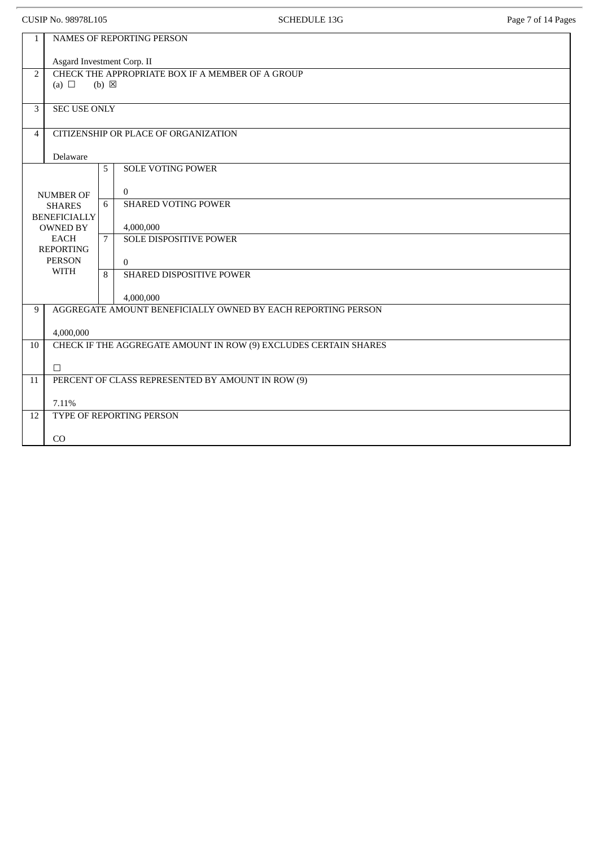|                | CUSIP No. 98978L105                                                           |                 | <b>SCHEDULE 13G</b>                                                       | Page 7 of 14 Pages |  |  |
|----------------|-------------------------------------------------------------------------------|-----------------|---------------------------------------------------------------------------|--------------------|--|--|
| $\mathbf{1}$   |                                                                               |                 | NAMES OF REPORTING PERSON                                                 |                    |  |  |
|                | Asgard Investment Corp. II                                                    |                 |                                                                           |                    |  |  |
| 2              | CHECK THE APPROPRIATE BOX IF A MEMBER OF A GROUP                              |                 |                                                                           |                    |  |  |
|                | (a) $\Box$                                                                    | $(b) \boxtimes$ |                                                                           |                    |  |  |
| 3              | <b>SEC USE ONLY</b>                                                           |                 |                                                                           |                    |  |  |
| $\overline{4}$ |                                                                               |                 | CITIZENSHIP OR PLACE OF ORGANIZATION                                      |                    |  |  |
|                | Delaware                                                                      |                 |                                                                           |                    |  |  |
|                |                                                                               | 5               | <b>SOLE VOTING POWER</b>                                                  |                    |  |  |
|                |                                                                               |                 | $\overline{0}$                                                            |                    |  |  |
|                | <b>NUMBER OF</b><br><b>SHARES</b>                                             | 6               | <b>SHARED VOTING POWER</b>                                                |                    |  |  |
|                | <b>BENEFICIALLY</b>                                                           |                 |                                                                           |                    |  |  |
|                | <b>OWNED BY</b><br><b>EACH</b>                                                |                 | 4,000,000<br><b>SOLE DISPOSITIVE POWER</b>                                |                    |  |  |
|                | <b>REPORTING</b><br><b>PERSON</b>                                             |                 |                                                                           |                    |  |  |
|                | <b>WITH</b>                                                                   | 8               | $\overline{0}$<br>SHARED DISPOSITIVE POWER                                |                    |  |  |
|                |                                                                               |                 |                                                                           |                    |  |  |
| 9              |                                                                               |                 | 4,000,000<br>AGGREGATE AMOUNT BENEFICIALLY OWNED BY EACH REPORTING PERSON |                    |  |  |
|                |                                                                               |                 |                                                                           |                    |  |  |
| 10             | 4,000,000<br>CHECK IF THE AGGREGATE AMOUNT IN ROW (9) EXCLUDES CERTAIN SHARES |                 |                                                                           |                    |  |  |
|                |                                                                               |                 |                                                                           |                    |  |  |
| 11             | $\Box$<br>PERCENT OF CLASS REPRESENTED BY AMOUNT IN ROW (9)                   |                 |                                                                           |                    |  |  |
|                |                                                                               |                 |                                                                           |                    |  |  |
|                | 7.11%                                                                         |                 |                                                                           |                    |  |  |
| 12             | TYPE OF REPORTING PERSON                                                      |                 |                                                                           |                    |  |  |
|                | CO                                                                            |                 |                                                                           |                    |  |  |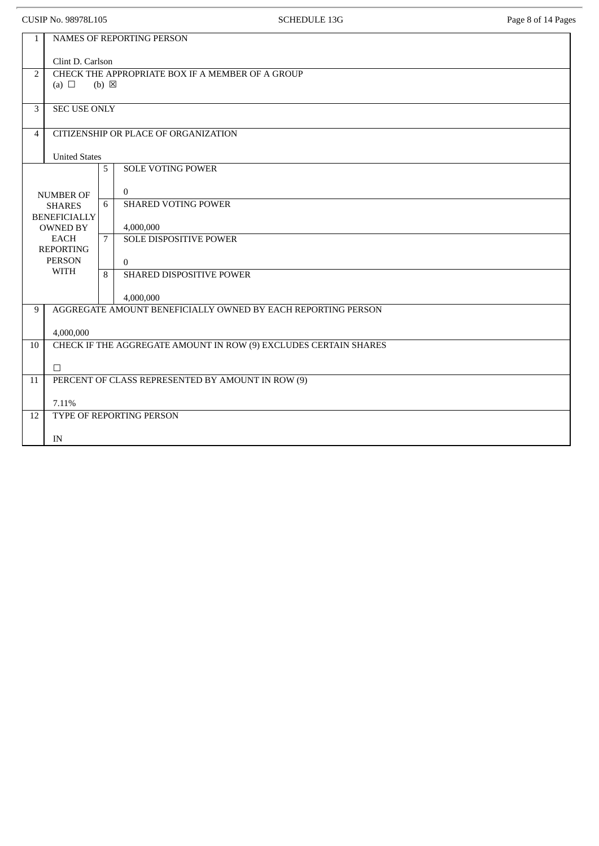|                | CUSIP No. 98978L105                                                           |                 | <b>SCHEDULE 13G</b>                                                       | Page 8 of 14 Pages |  |  |  |
|----------------|-------------------------------------------------------------------------------|-----------------|---------------------------------------------------------------------------|--------------------|--|--|--|
| $\mathbf{1}$   | NAMES OF REPORTING PERSON                                                     |                 |                                                                           |                    |  |  |  |
|                | Clint D. Carlson                                                              |                 |                                                                           |                    |  |  |  |
| $\overline{2}$ | (a) $\Box$                                                                    | $(b) \boxtimes$ | CHECK THE APPROPRIATE BOX IF A MEMBER OF A GROUP                          |                    |  |  |  |
|                |                                                                               |                 |                                                                           |                    |  |  |  |
| 3              | <b>SEC USE ONLY</b>                                                           |                 |                                                                           |                    |  |  |  |
| $\overline{4}$ |                                                                               |                 | CITIZENSHIP OR PLACE OF ORGANIZATION                                      |                    |  |  |  |
|                | <b>United States</b>                                                          |                 |                                                                           |                    |  |  |  |
|                |                                                                               | 5               | <b>SOLE VOTING POWER</b>                                                  |                    |  |  |  |
|                | <b>NUMBER OF</b>                                                              |                 | $\Omega$                                                                  |                    |  |  |  |
|                | <b>SHARES</b><br><b>BENEFICIALLY</b>                                          | 6               | <b>SHARED VOTING POWER</b>                                                |                    |  |  |  |
|                | <b>OWNED BY</b>                                                               |                 | 4,000,000                                                                 |                    |  |  |  |
|                | <b>EACH</b><br><b>REPORTING</b>                                               | 7               | <b>SOLE DISPOSITIVE POWER</b>                                             |                    |  |  |  |
|                | <b>PERSON</b><br><b>WITH</b>                                                  | 8               | $\Omega$<br>SHARED DISPOSITIVE POWER                                      |                    |  |  |  |
|                |                                                                               |                 |                                                                           |                    |  |  |  |
| 9              |                                                                               |                 | 4,000,000<br>AGGREGATE AMOUNT BENEFICIALLY OWNED BY EACH REPORTING PERSON |                    |  |  |  |
|                |                                                                               |                 |                                                                           |                    |  |  |  |
| 10             | 4,000,000<br>CHECK IF THE AGGREGATE AMOUNT IN ROW (9) EXCLUDES CERTAIN SHARES |                 |                                                                           |                    |  |  |  |
|                |                                                                               |                 |                                                                           |                    |  |  |  |
| 11             | $\Box$<br>PERCENT OF CLASS REPRESENTED BY AMOUNT IN ROW (9)                   |                 |                                                                           |                    |  |  |  |
|                |                                                                               |                 |                                                                           |                    |  |  |  |
| 12             | 7.11%<br>TYPE OF REPORTING PERSON                                             |                 |                                                                           |                    |  |  |  |
|                |                                                                               |                 |                                                                           |                    |  |  |  |
|                | IN                                                                            |                 |                                                                           |                    |  |  |  |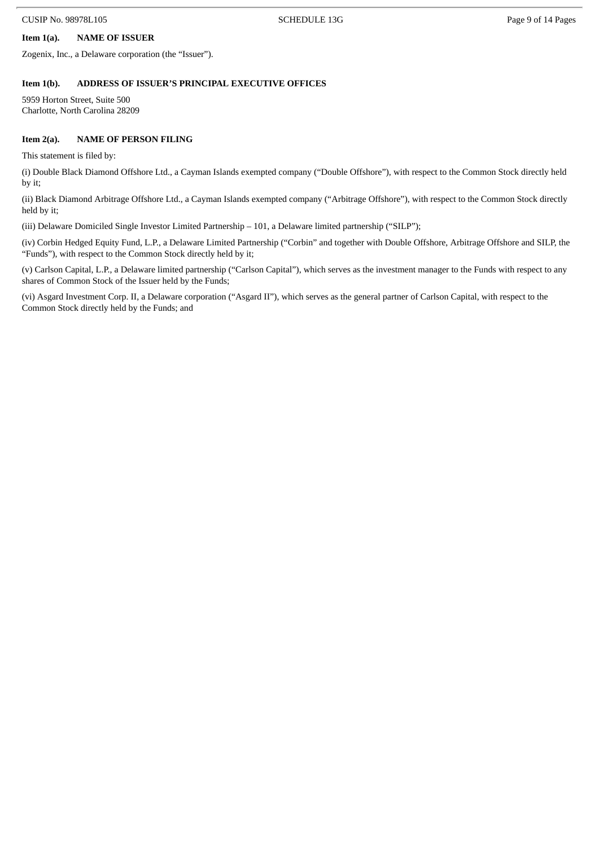# **Item 1(a). NAME OF ISSUER**

Zogenix, Inc., a Delaware corporation (the "Issuer").

#### **Item 1(b). ADDRESS OF ISSUER'S PRINCIPAL EXECUTIVE OFFICES**

5959 Horton Street, Suite 500 Charlotte, North Carolina 28209

#### **Item 2(a). NAME OF PERSON FILING**

This statement is filed by:

(i) Double Black Diamond Offshore Ltd., a Cayman Islands exempted company ("Double Offshore"), with respect to the Common Stock directly held by it;

(ii) Black Diamond Arbitrage Offshore Ltd., a Cayman Islands exempted company ("Arbitrage Offshore"), with respect to the Common Stock directly held by it;

(iii) Delaware Domiciled Single Investor Limited Partnership – 101, a Delaware limited partnership ("SILP");

(iv) Corbin Hedged Equity Fund, L.P., a Delaware Limited Partnership ("Corbin" and together with Double Offshore, Arbitrage Offshore and SILP, the "Funds"), with respect to the Common Stock directly held by it;

(v) Carlson Capital, L.P., a Delaware limited partnership ("Carlson Capital"), which serves as the investment manager to the Funds with respect to any shares of Common Stock of the Issuer held by the Funds;

(vi) Asgard Investment Corp. II, a Delaware corporation ("Asgard II"), which serves as the general partner of Carlson Capital, with respect to the Common Stock directly held by the Funds; and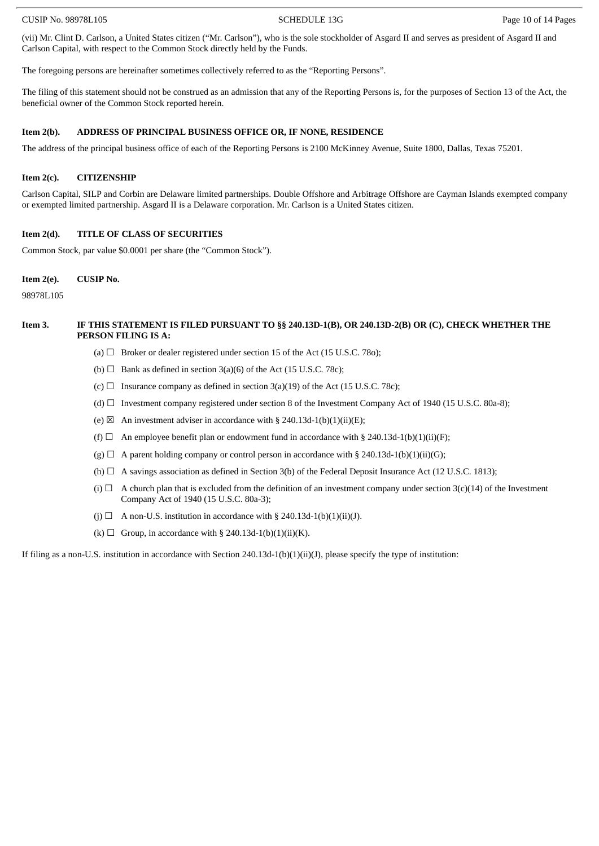#### CUSIP No. 98978L105 CHEDULE 13G Page 10 of 14 Pages

(vii) Mr. Clint D. Carlson, a United States citizen ("Mr. Carlson"), who is the sole stockholder of Asgard II and serves as president of Asgard II and Carlson Capital, with respect to the Common Stock directly held by the Funds.

The foregoing persons are hereinafter sometimes collectively referred to as the "Reporting Persons".

The filing of this statement should not be construed as an admission that any of the Reporting Persons is, for the purposes of Section 13 of the Act, the beneficial owner of the Common Stock reported herein.

#### **Item 2(b). ADDRESS OF PRINCIPAL BUSINESS OFFICE OR, IF NONE, RESIDENCE**

The address of the principal business office of each of the Reporting Persons is 2100 McKinney Avenue, Suite 1800, Dallas, Texas 75201.

#### **Item 2(c). CITIZENSHIP**

Carlson Capital, SILP and Corbin are Delaware limited partnerships. Double Offshore and Arbitrage Offshore are Cayman Islands exempted company or exempted limited partnership. Asgard II is a Delaware corporation. Mr. Carlson is a United States citizen.

#### **Item 2(d). TITLE OF CLASS OF SECURITIES**

Common Stock, par value \$0.0001 per share (the "Common Stock").

#### **Item 2(e). CUSIP No.**

98978L105

#### Item 3. IF THIS STATEMENT IS FILED PURSUANT TO §§ 240.13D-1(B), OR 240.13D-2(B) OR (C), CHECK WHETHER THE **PERSON FILING IS A:**

- (a)  $\Box$  Broker or dealer registered under section 15 of the Act (15 U.S.C. 780);
- (b)  $\Box$  Bank as defined in section 3(a)(6) of the Act (15 U.S.C. 78c);
- (c)  $\Box$  Insurance company as defined in section 3(a)(19) of the Act (15 U.S.C. 78c);
- (d)  $\Box$  Investment company registered under section 8 of the Investment Company Act of 1940 (15 U.S.C. 80a-8);
- (e)  $\boxtimes$  An investment adviser in accordance with § 240.13d-1(b)(1)(ii)(E);
- (f)  $\Box$  An employee benefit plan or endowment fund in accordance with § 240.13d-1(b)(1)(ii)(F);
- $(g)$   $\Box$  A parent holding company or control person in accordance with § 240.13d-1(b)(1)(ii)(G);
- (h)  $\Box$  A savings association as defined in Section 3(b) of the Federal Deposit Insurance Act (12 U.S.C. 1813);
- (i)  $\Box$  A church plan that is excluded from the definition of an investment company under section 3(c)(14) of the Investment Company Act of 1940 (15 U.S.C. 80a-3);
- (j)  $\Box$  A non-U.S. institution in accordance with § 240.13d-1(b)(1)(ii)(J).
- (k)  $\Box$  Group, in accordance with § 240.13d-1(b)(1)(ii)(K).

If filing as a non-U.S. institution in accordance with Section 240.13d-1(b)(1)(ii)(J), please specify the type of institution: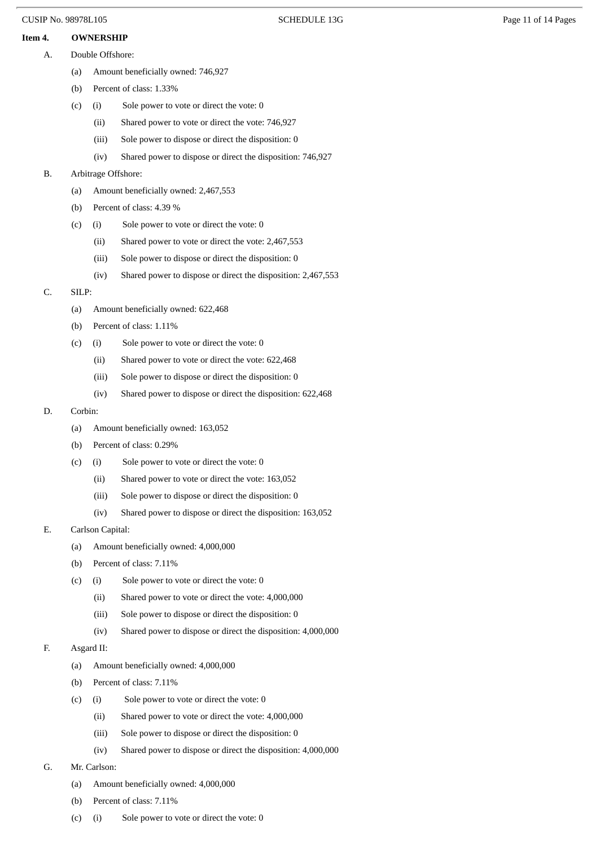# **Item 4. OWNERSHIP**

- A. Double Offshore:
	- (a) Amount beneficially owned: 746,927
	- (b) Percent of class: 1.33%
	- (c) (i) Sole power to vote or direct the vote: 0
		- (ii) Shared power to vote or direct the vote: 746,927
		- (iii) Sole power to dispose or direct the disposition: 0
		- (iv) Shared power to dispose or direct the disposition: 746,927

# B. Arbitrage Offshore:

- (a) Amount beneficially owned: 2,467,553
- (b) Percent of class: 4.39 %
- (c) (i) Sole power to vote or direct the vote: 0
	- (ii) Shared power to vote or direct the vote: 2,467,553
	- (iii) Sole power to dispose or direct the disposition: 0
	- (iv) Shared power to dispose or direct the disposition: 2,467,553

# C. SILP:

- (a) Amount beneficially owned: 622,468
- (b) Percent of class: 1.11%
- (c) (i) Sole power to vote or direct the vote: 0
	- (ii) Shared power to vote or direct the vote: 622,468
	- (iii) Sole power to dispose or direct the disposition: 0
	- (iv) Shared power to dispose or direct the disposition: 622,468

# D. Corbin:

- (a) Amount beneficially owned: 163,052
- (b) Percent of class: 0.29%
- (c) (i) Sole power to vote or direct the vote: 0
	- (ii) Shared power to vote or direct the vote: 163,052
	- (iii) Sole power to dispose or direct the disposition: 0
	- (iv) Shared power to dispose or direct the disposition: 163,052
- E. Carlson Capital:
	- (a) Amount beneficially owned: 4,000,000
	- (b) Percent of class: 7.11%
	- (c) (i) Sole power to vote or direct the vote: 0
		- (ii) Shared power to vote or direct the vote: 4,000,000
		- (iii) Sole power to dispose or direct the disposition: 0
		- (iv) Shared power to dispose or direct the disposition: 4,000,000

# F. Asgard II:

- (a) Amount beneficially owned: 4,000,000
- (b) Percent of class: 7.11%
- (c) (i) Sole power to vote or direct the vote: 0
	- (ii) Shared power to vote or direct the vote: 4,000,000
	- (iii) Sole power to dispose or direct the disposition: 0
	- (iv) Shared power to dispose or direct the disposition: 4,000,000
- G. Mr. Carlson:
	- (a) Amount beneficially owned: 4,000,000
	- (b) Percent of class: 7.11%
	- (c) (i) Sole power to vote or direct the vote: 0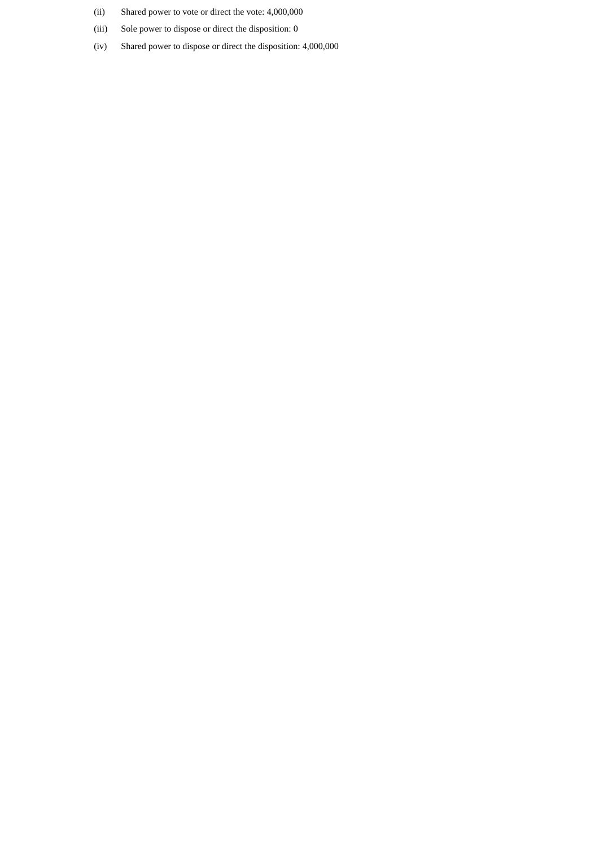- (ii) Shared power to vote or direct the vote: 4,000,000
- (iii) Sole power to dispose or direct the disposition: 0
- (iv) Shared power to dispose or direct the disposition: 4,000,000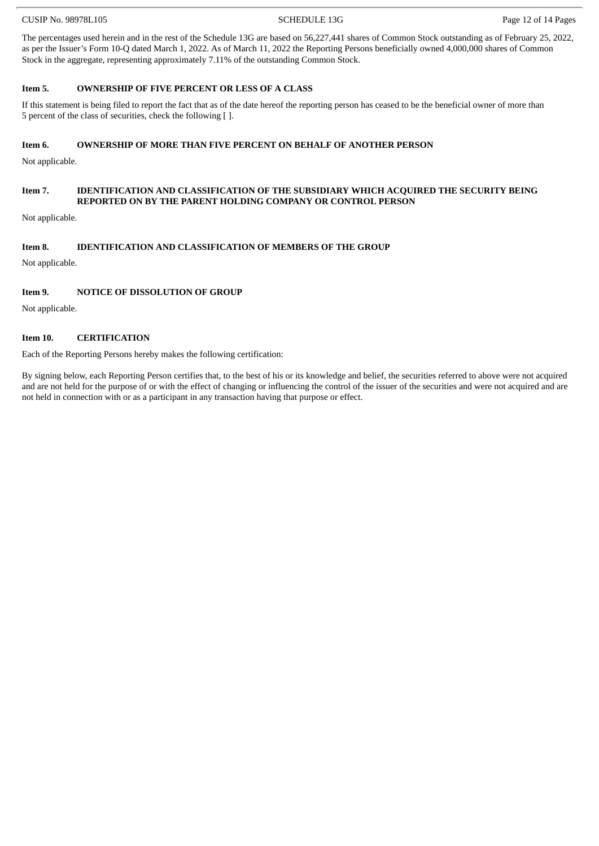#### CUSIP No. 98978L105 CUSIP No. 98978L105

The percentages used herein and in the rest of the Schedule 13G are based on 56,227,441 shares of Common Stock outstanding as of February 25, 2022, as per the Issuer's Form 10-Q dated March 1, 2022. As of March 11, 2022 the Reporting Persons beneficially owned 4,000,000 shares of Common Stock in the aggregate, representing approximately 7.11% of the outstanding Common Stock.

# **Item 5. OWNERSHIP OF FIVE PERCENT OR LESS OF A CLASS**

If this statement is being filed to report the fact that as of the date hereof the reporting person has ceased to be the beneficial owner of more than 5 percent of the class of securities, check the following [ ].

# **Item 6. OWNERSHIP OF MORE THAN FIVE PERCENT ON BEHALF OF ANOTHER PERSON**

Not applicable.

#### **Item 7. IDENTIFICATION AND CLASSIFICATION OF THE SUBSIDIARY WHICH ACQUIRED THE SECURITY BEING REPORTED ON BY THE PARENT HOLDING COMPANY OR CONTROL PERSON**

Not applicable.

# **Item 8. IDENTIFICATION AND CLASSIFICATION OF MEMBERS OF THE GROUP**

Not applicable.

#### **Item 9. NOTICE OF DISSOLUTION OF GROUP**

Not applicable.

#### **Item 10. CERTIFICATION**

Each of the Reporting Persons hereby makes the following certification:

By signing below, each Reporting Person certifies that, to the best of his or its knowledge and belief, the securities referred to above were not acquired and are not held for the purpose of or with the effect of changing or influencing the control of the issuer of the securities and were not acquired and are not held in connection with or as a participant in any transaction having that purpose or effect.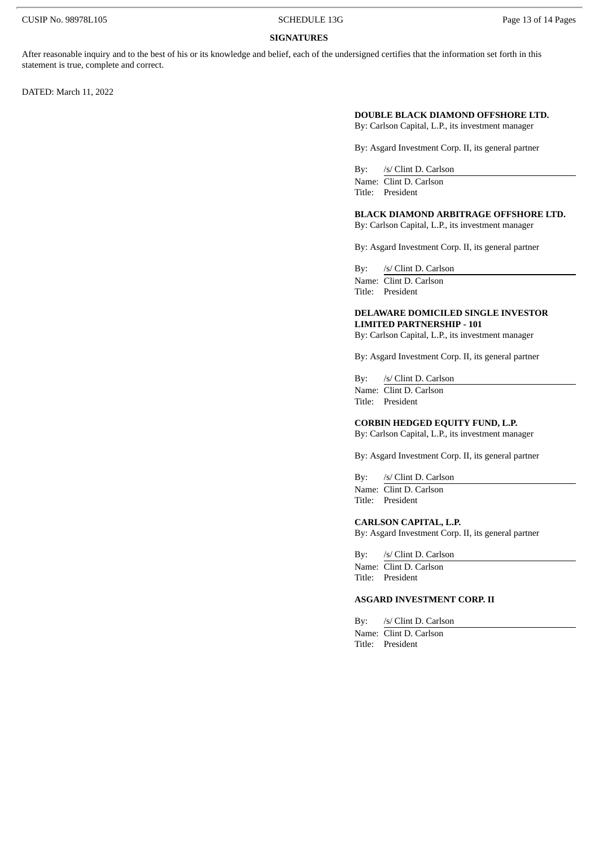#### **SIGNATURES**

After reasonable inquiry and to the best of his or its knowledge and belief, each of the undersigned certifies that the information set forth in this statement is true, complete and correct.

DATED: March 11, 2022

# **DOUBLE BLACK DIAMOND OFFSHORE LTD.**

By: Carlson Capital, L.P., its investment manager

By: Asgard Investment Corp. II, its general partner

By: /s/ Clint D. Carlson Name: Clint D. Carlson Title: President

#### **BLACK DIAMOND ARBITRAGE OFFSHORE LTD.**

By: Carlson Capital, L.P., its investment manager

By: Asgard Investment Corp. II, its general partner

By: /s/ Clint D. Carlson Name: Clint D. Carlson

Title: President

#### **DELAWARE DOMICILED SINGLE INVESTOR LIMITED PARTNERSHIP - 101**

By: Carlson Capital, L.P., its investment manager

By: Asgard Investment Corp. II, its general partner

By: /s/ Clint D. Carlson

Name: Clint D. Carlson Title: President

#### **CORBIN HEDGED EQUITY FUND, L.P.**

By: Carlson Capital, L.P., its investment manager

By: Asgard Investment Corp. II, its general partner

By: /s/ Clint D. Carlson Name: Clint D. Carlson Title: President

## **CARLSON CAPITAL, L.P.**

By: Asgard Investment Corp. II, its general partner

By: /s/ Clint D. Carlson Name: Clint D. Carlson

Title: President

# **ASGARD INVESTMENT CORP. II**

By: /s/ Clint D. Carlson Name: Clint D. Carlson Title: President